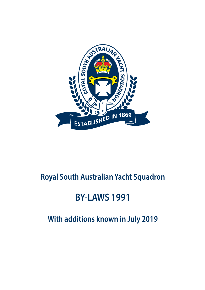

# **Royal South Australian Yacht Squadron**

# **BY-LAWS 1991**

**With additions known in July 2019**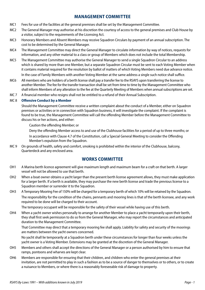## **MANAGEMENT COMMITTEE**

- MC1 Fees for use of the facilities at the general premises shall be set by the Management Committee.
- MC2 The General Manager may authorise at his discretion the courtesy of access to the general premises and Club House by a visitor, subject to the requirements of the Licensing Act.
- MC3 Honorary Members and Absent Members may receive Squadron Circulars by payment of an annual subscription. The cost to be determined by the General Manager.
- MC4 The Management Committee may direct the General Manager to circulate information by way of notices, requests for information, and any other material to a class or group of Members which does not include the total Membership.
- MC5 The Management Committee may authorise the General Manager to send a single Squadron Circular to an address which is shared by more than one Member, but a separate Squadron Circular must be sent to each Voting Member when it contains material required for the resolution by ballot of matters of which Voting Members need due advance notice.

In the case of Family Members with another Voting Member at the same address a single such notice shall suffice.

- MC6 All members who are holders of a berth license shall pay a transfer fee to the RSAYS upon transferring the license to another Member. The fee for the transfer transaction shall be set from time to time by the Management Committee who shall inform Members of any alteration to the fee at the Quarterly Meeting of Members when annual subscriptions are set.
- MC 7 A financial member who resigns shall not be entitled to a refund of their Annual Subscription.

#### MC 8 **Offensive Conduct by a Member**

Should the Management Committee receive a written complaint about the conduct of a Member, either on Squadron premises or activities or in connection with Squadron business, it will investigate the complaint. If the complaint is found to be true, the Management Committee will call the offending Member before the Management Committee to discuss his or her actions, and either:

Caution the offending Member; or

Deny the offending Member access to and use of the Clubhouse facilities for a period of up to three months; or In accordance with Clause 4.7 of the Constitution, call a Special General Meeting to consider the Offending Member's expulsion from the Squadron.

MC 9 On grounds of health, safety and comfort, smoking is prohibited within the interior of the Clubhouse, balcony, Quarterdeck and any enclosed area.

#### **WORKS COMMITTEE**

- OH1 A Marina berth licence agreement will give maximum length and maximum beam for a craft on that berth. A larger vessel will not be allowed to use that berth.
- OH2 When a boat owner obtains a yacht larger than the present berth license agreement allows, they must make application for a larger berth. If a berth is available, they may purchase the new berth license and trade the previous license to a Squadron member or surrender it to the Squadron.
- OH3 A Temporary Mooring Fee of 150% will be charged for a temporary berth of which 10% will be retained by the Squadron. The responsibility for the condition of the chains, pennants and mooring lines is that of the berth licensee, and any work required to be done will be charged to their account.

The temporary occupant will be responsible for the safety of their vessel while having use of this berth.

OH4 When a yacht owner wishes personally to arrange for another Member to place a yacht temporarily upon their berth, they shall first seek permission to do so from the General Manager, who may report the circumstances and anticipated duration to the Management Committee.

That Committee may direct that a temporary mooring fee shall apply. Liability for safety and security of the moorings are matters between the yacht owners concerned.

No yacht shall lie temporarily at a Squadron berth under these circumstances for longer than four weeks unless the yacht owner is a Voting Member. Extensions may be granted at the discretion of the General Manager.

- OH5 Members and others shall accept the directions of the General Manager or a person authorised by him to ensure that ramps, pontoons and wharves are kept clear.
- OH6 Members are responsible for ensuring that their children, and children who enter the general premises at their invitation, are not permitted to play in such a fashion as to be a source of danger to themselves or to others, or to create a nuisance to Members, or where there is a reasonably foreseeable risk of damage to property.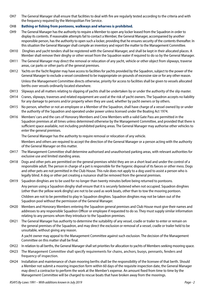OH7 The General Manager shall ensure that facilities to deal with fire are regularly tested according to the criteria and with the frequency required by the Metropolitan Fire Service.

#### OH8 **Bathing or fishing from pontoons, walkways and wharves is prohibited.**

- OH9 The General Manager has the authority to require a Member to open any locker leased from the Squadron in order to display its contents. If reasonable attempts fail to contact a Member, the General Manager, accompanied by another responsible person, has the authority to open such a locker, providing that he ensures security of the contents thereafter. In this situation the General Manager shall compile an inventory and report the matter to the Management Committee.
- OH10 Dinghies and yacht tenders shall be registered with the General Manager, and shall be kept in their allocated places. A Member shall remove their dinghy or other vessel from the Squadron water if required to do so by the General Manager.
- OH11 The General Manager may direct the removal or relocation of any yacht, vehicle or other object from slipways, traverse areas, car parks or other parts of the general premises.
- OH12 Yachts on the Yacht Register may have access to facilities for yachts provided by the Squadron, subject to the power of the General Manager to exclude a vessel considered to be inappropriate on grounds of excessive size or for any other reason. Unless the Management Committee directs otherwise, priority for access to facilities shall be given to vessels allocated berths over vessels ordinarily located elsewhere.
- OH13 Slipways and all matters relating to slipping of yachts shall be undertaken by or under the authority of the slip master.
- OH14 Cranes, slipways, traverses and related equipment are used at the risk of yacht owners. The Squadron accepts no liability for any damage to persons and/or property when they are used, whether by yacht owners or by others.
- OH15 No person, whether or not an employee or a Member of the Squadron, shall have charge of a vessel owned by or under the authority of the Squadron and operated under power unless licensed under the Boating Act 1974.
- OH16 Members' cars and the cars of Honorary Members and Crew Members with a valid Gate Pass are permitted in the Squadron premises at all times unless determined otherwise by the Management Committee, and provided that there is sufficient space available, not including prohibited parking areas. The General Manager may authorise other vehicles to enter the general premises.

The General Manager has the authority to require removal or relocation of any vehicle.

Members and others are required to accept the direction of the General Manager or a person acting with the authority of the General Manager on this matter.

- OH17 The Management Committee shall determine authorised and unauthorised parking areas, with relevant authorities for exclusive use and limited standing areas.
- OH18 Dogs and other pets are permitted on the general premises whilst they are on a short lead and under the control of a responsible adult. The person in charge of a pet is responsible for the hygenic disposal of its faeces or other mess. Dogs and other pets are not permitted in the Club House. This rule does not apply to a dog used to assist a person who is legally blind. A dog or other pet creating a nuisance shall be removed from the general premises.
- OH19 Squadron dinghies are to be used for no longer than twenty minutes before being returned to pontoons. Any person using a Squadron dinghy shall ensure that it is securely fastened when not occupied. Squadron dinghies (other than the yellow work dinghy) are not to be used as work boats, other than to tow the mooring pontoon. Children are not to be permitted to play in Squadron dinghies. Squadron dinghies may not be taken out of the Squadron pool without the permission of the General Manager.
- OH20 Members and Honorary Members entering the Squadron general premises and Club House must give their names and addresses to any responsible Squadron Officer or employee if requested to do so. They must supply similar information relating to any persons whom they introduce to the Squadron premises.
- OH21 The General Manager has authority to determine the suitability of any vessel, cradle or trailer to enter or remain on the general premises of the Squadron, and may direct the exclusion or removal of a vessel, cradle or trailer held to be unsuitable, without giving any reason.

A yacht owner may appeal to the Management Committee against such exclusion. The decision of the Management Committee on this matter shall be final.

- OH22 In relation to all berths, the General Manager shall set priorities for allocation to yachts of Members seeking mooring space.
- OH23 The Management Committee shall specify requirements for chains, anchors, buoys, pennants, fenders and frequency of inspection.
- OH24 Installation and maintenance of chain mooring berths shall be the responsibility of the licensee of that berth. Should a Member not submit a mooring inspection form within 60 days of the requisite inspection date, the General Manager may direct a contractor to perform the work at the Member's expense. An amount fixed from time to time by the Management Committee will be charged to rescue boats that have broken away from the moorings.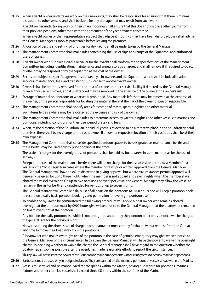OH25 When a yacht owner undertakes work on their moorings, they shall be responsible for ensuring that there is minimal disruption to other vessels, and shall be liable for any damage that may result from such work.

A yacht owner undertaking work on their chain moorings shall ensure that this does not displace other yachts from their previous positions, other than with the agreement of the yacht owners concerned.

When a yacht owner or their representative suspect that adjacent moorings may have been disturbed, they shall advise the General Manager as soon as practicable before leaving the premises.

- OH26 Allocation of berths and setting of priorities for dry Racing shall be undertaken by the General Manager.
- OH27 The Management Committee shall make rules concerning the use of slips and ramps of the Squadron, and authorised users of cranes.
- OH28 A yacht owner who supplies a cradle or trailer for their yacht shall conform to the specifications of the Management Committee, including identification, maintenance and annual storage charges, and shall remove it if required to do so, or else it may be disposed of by the Squadron at the cost of the owner.
- OH29 Berths are subject to specific agreements between yacht owners and the Squadron, which shall include allocation, services, maintenance, fees, and transfer or sub-license to another yacht owner.
- OH30 A vessel shall be promptly removed from the area of a crane or other service facility if directed by the General Manager or an authorised employee, and if unattended may be removed in the absence of the owner at the owner's risk.
- OH31 Storage of material on pontoons or wharves is prohibited. Any materials left there may be removed at the expense of the owner, or the person responsible for locating the material there at the risk of the owner or person responsible.
- OH32 The Management Committee shall specify areas for storage of masts, spars, dinghies and other material. Such items left elsewhere may be relocated at the expense and risk of the owner.
- OH33 The Management Committee shall make rules to determine access by yachts, dinghies and other vessels to marinas and pontoons, including conditions for their use, period of stay and fees.
- OH34 When, at the direction of the Squadron, an individual yacht is relocated to an alternative place in the Squadron general premises, there shall be no charge to the yacht owner. If an owner requests relocation of their yacht this shall be at their own expense.
- OH35 The Management Committee shall set aside specified pontoon spaces to be designated as maintenance berths and these berths may be used only by prior booking at the office.

The scale of charges for the overnight use of pontoons shall be paid by boatowners in same manner as for the use of slipways

Except in the case of the maintenance berths there will be no charge for the use of visitor berths by a Member for a vessel on the Yacht Register in cases where the member obtains prior written approval from the General Manager. The General Manager will have absolute discretion in giving approval but where circumstances permit, approval will generally be given for up to three nights when the member is not aboard and seven nights when the member stays aboard the vessel overnight. On up to two occasions per year per vessel the General Manager may allow the vessel to remain in the visitor berth and unattended for periods of up to seven nights.

The General Manager will compile a daily list of all boats on the pontoons at 0700 hours and will keep a pontoon book to record on a daily basis pontoon bookings and permission for overnight pontoon use.

To enable the by-law to be administered the following procedure will apply: A boat owner who remains aboard overnight at the pontoon must by 0900 hours give written notice to the General Manager that the boatowner remained on board overnight at the pontoon.

Any boat on the daily pontoon list which is not brought to account by the pontoon book or by a notice will be charged the general rate for the previous night.

Notwithstanding the above scale of charges each boatowner must comply forthwith with a request from the Club at any time to move their boat away from the pontoons.

A boatowner who makes overnight use of the pontoon in the case of genuine emergency may give written notice to the General Manager of the circumstances. In this case the General Manager will have the power to waive the overnight charge. In deciding whether to waive the charge the General Manager shall have regard to the question whether the boatowner, as soon as possible after the event, has made reasonable efforts to report the circumstances.

This by-law will not restrict the power of the Squadron to make arrangements with visiting yachts to occupy marinas or pontoons.

- OH36 Barbecues may be used only in designated areas. They are banned on the marinas, pontoons or vessels afloat within the Marina.
- OH37 Vessels must travel and be manoeuvred at safe speeds within the Marina, having due regard for pontoons, marinas, fixtures and other craft. No vessel shall exceed three (3) knots within the confines of the Marina.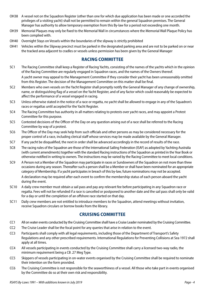- OH38 A vessel not on the Squadron Register (other than one for which due application has been made or one accorded the privileges of a visiting yacht) shall not be permitted to remain within the general Squadron premises. The General Manager has authority to allow temporary exemption from this By-law for a period not exceeding one month.
- OH39 Memorial Plaques may only be fixed to the Memorial Wall in circumstances where the Memorial Wall Plaque Policy has been complied with.
- OH40 Overnight Stays on Vessels within the boundaries of the slipway is strictly prohibited
- OH41 Vehicles within the Slipway precinct must be parked in the designated parking area and are not to be parked on or near the tracked area adjacent to cradles or vessels unless permission has been given by the General Manager

#### **RACING COMMITTEE**

SC1 The Racing Committee shall keep a Register of Racing Yachts, consisting of the names of the yachts which in the opinion of the Racing Committee are regularly engaged in Squadron races, and the names of the Owners thereof.

A yacht owner may appeal to the Management Committee if they consider their yacht has been unreasonably omitted from this Register. The decision of the Management Committee on this matter shall be final.

- SC2 Members who own vessels on the Yacht Register shall promptly notify the General Manager of any change of ownership, name, or distinguishing flag of a vessel on the Yacht Register, and of any factor which could reasonably be expected to affect the performance of a vessel engaged in racing.
- SC3 Unless otherwise stated in the notice of a race or regatta, no yacht shall be allowed to engage in any of the Squadron's races or regattas until accepted for the Yacht Register.
- SC4 The Racing Committee has authority in all matters relating to protests over yacht races, and may appoint a Protest Committee for this purpose.
- SC5 Contested decisions of the Officer of the Day on any question arising out of a race shall be referred to the Racing Committee by way of a protest.
- SC6 The Officer of the Day may seek help from such officials and other persons as may be considered necessary for the proper control of a race, including clerical staff whose services may be made available by the General Manager.
- SC7 If any yacht be disqualified, the next in order shall be advanced accordingly in the record of results of the race.
- SC8 The racing rules of the Squadron are those of the International Sailing Federation (ISAF) as adopted by Yachting Australia (with current amendments) together with the standard Racing instructions of the Squadron as printed in the Year Book or otherwise notified in writing to owners. The instructions may be varied by the Racing Committee to meet local conditions.
- SC9 A Person not a Member of the Squadron may participate in races or Sundowners of the Squadron on not more than three occasions during any season. Thereafter such a person shall be a Member or shall have been nominated for an appropriate category of Membership. If a yacht participates in breach of this by-law, future nominations may not be accepted. A declaration may be required after each event to confirm the membership status of each person aboard the yacht during the event.
- SC10 A daily crew member must obtain a sail pass and pay any relevant fee before participating in any Squadron race or regatta. Fees will not be refunded if a race is cancelled or postponed to another date and the sail pass shall only be valid for a day or until the completion of an offshore race started on that day.
- SC11 Daily crew members are not entitled to introduce members to the Squadron, attend meetings without invitation, receive Squadron circulars or borrow books from the library.

#### **CRUISING COMMITTEE**

- CC1 All on water events conducted by the Cruising Committee shall have a Cruise Leader nominated by the Cruising Committee.
- CC2 The Cruise Leader shall be the focal point for any queries that arise in relation to the event.
- CC3 Participants shall comply with all legal requirements, including those of the Department of Transport's Safety Regulations and any other prescribed requirements. International Regulations for Preventing Collisions at Sea 1972 shall apply at all times.
- CC4 All vessels participating in events conducted by the Cruising Committee shall carry a licensed two-way radio, the minimum requirement being a CB .27 Meg Type.
- CC5 Skippers of vessels participating in on-water events organised by the Cruising Committee shall be required to nominate their intention on the form provided.
- CC6 The Cruising Committee is not responsible for the seaworthiness of a vessel. All those who take part in events organised by the Committee do so at their own risk and responsibility.